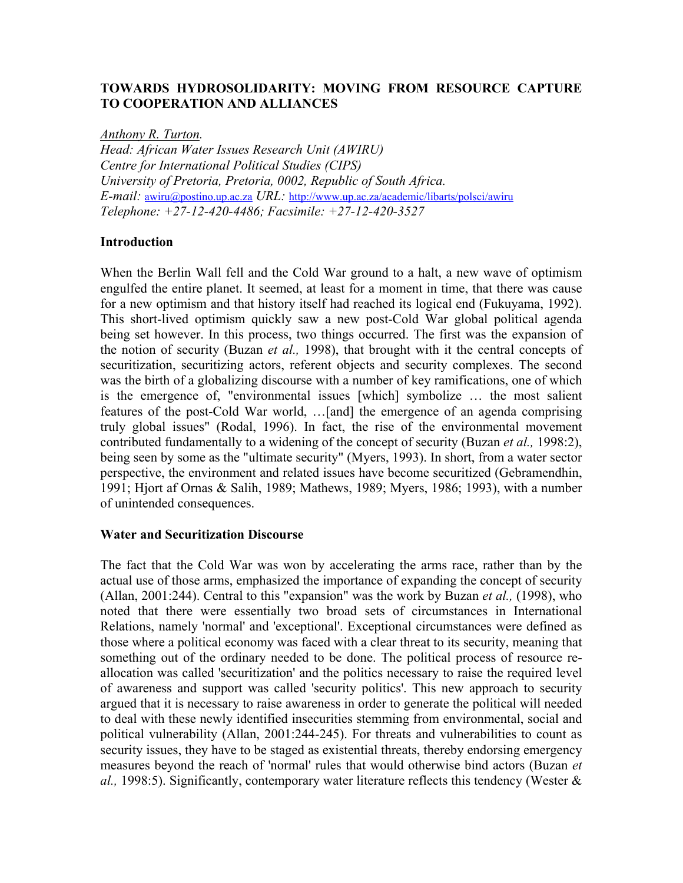# **TOWARDS HYDROSOLIDARITY: MOVING FROM RESOURCE CAPTURE TO COOPERATION AND ALLIANCES**

*Anthony R. Turton.* 

*Head: African Water Issues Research Unit (AWIRU) Centre for International Political Studies (CIPS) University of Pretoria, Pretoria, 0002, Republic of South Africa. E-mail:* [awiru@postino.up.ac.za](mailto:awiru@postino.up.ac.za) *URL:* <http://www.up.ac.za/academic/libarts/polsci/awiru> *Telephone: +27-12-420-4486; Facsimile: +27-12-420-3527* 

### **Introduction**

When the Berlin Wall fell and the Cold War ground to a halt, a new wave of optimism engulfed the entire planet. It seemed, at least for a moment in time, that there was cause for a new optimism and that history itself had reached its logical end (Fukuyama, 1992). This short-lived optimism quickly saw a new post-Cold War global political agenda being set however. In this process, two things occurred. The first was the expansion of the notion of security (Buzan *et al.,* 1998), that brought with it the central concepts of securitization, securitizing actors, referent objects and security complexes. The second was the birth of a globalizing discourse with a number of key ramifications, one of which is the emergence of, "environmental issues [which] symbolize … the most salient features of the post-Cold War world, …[and] the emergence of an agenda comprising truly global issues" (Rodal, 1996). In fact, the rise of the environmental movement contributed fundamentally to a widening of the concept of security (Buzan *et al.,* 1998:2), being seen by some as the "ultimate security" (Myers, 1993). In short, from a water sector perspective, the environment and related issues have become securitized (Gebramendhin, 1991; Hjort af Ornas & Salih, 1989; Mathews, 1989; Myers, 1986; 1993), with a number of unintended consequences.

#### **Water and Securitization Discourse**

The fact that the Cold War was won by accelerating the arms race, rather than by the actual use of those arms, emphasized the importance of expanding the concept of security (Allan, 2001:244). Central to this "expansion" was the work by Buzan *et al.,* (1998), who noted that there were essentially two broad sets of circumstances in International Relations, namely 'normal' and 'exceptional'. Exceptional circumstances were defined as those where a political economy was faced with a clear threat to its security, meaning that something out of the ordinary needed to be done. The political process of resource reallocation was called 'securitization' and the politics necessary to raise the required level of awareness and support was called 'security politics'. This new approach to security argued that it is necessary to raise awareness in order to generate the political will needed to deal with these newly identified insecurities stemming from environmental, social and political vulnerability (Allan, 2001:244-245). For threats and vulnerabilities to count as security issues, they have to be staged as existential threats, thereby endorsing emergency measures beyond the reach of 'normal' rules that would otherwise bind actors (Buzan *et al.,* 1998:5). Significantly, contemporary water literature reflects this tendency (Wester &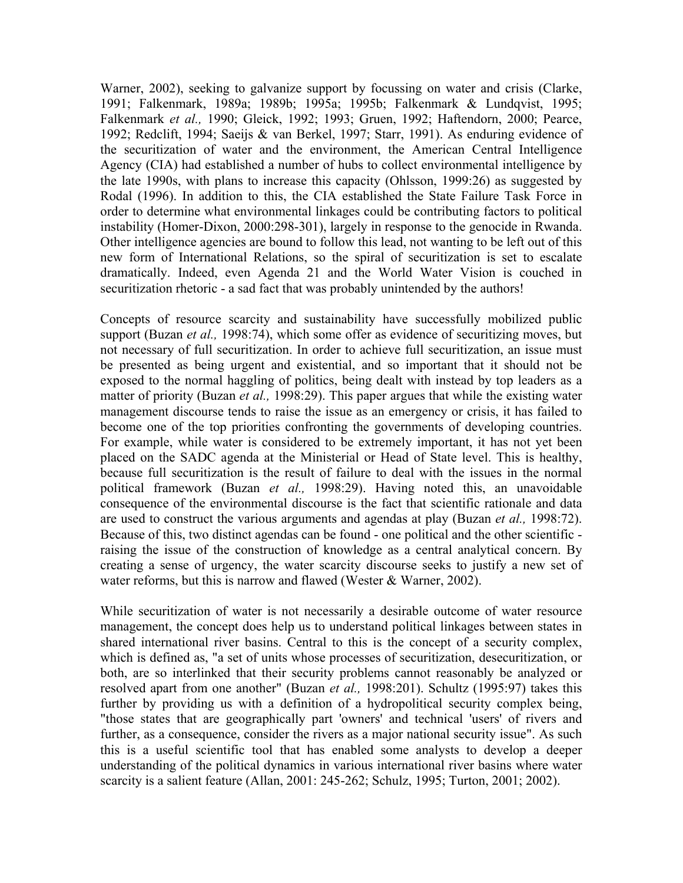Warner, 2002), seeking to galvanize support by focussing on water and crisis (Clarke, 1991; Falkenmark, 1989a; 1989b; 1995a; 1995b; Falkenmark & Lundqvist, 1995; Falkenmark *et al.,* 1990; Gleick, 1992; 1993; Gruen, 1992; Haftendorn, 2000; Pearce, 1992; Redclift, 1994; Saeijs & van Berkel, 1997; Starr, 1991). As enduring evidence of the securitization of water and the environment, the American Central Intelligence Agency (CIA) had established a number of hubs to collect environmental intelligence by the late 1990s, with plans to increase this capacity (Ohlsson, 1999:26) as suggested by Rodal (1996). In addition to this, the CIA established the State Failure Task Force in order to determine what environmental linkages could be contributing factors to political instability (Homer-Dixon, 2000:298-301), largely in response to the genocide in Rwanda. Other intelligence agencies are bound to follow this lead, not wanting to be left out of this new form of International Relations, so the spiral of securitization is set to escalate dramatically. Indeed, even Agenda 21 and the World Water Vision is couched in securitization rhetoric - a sad fact that was probably unintended by the authors!

Concepts of resource scarcity and sustainability have successfully mobilized public support (Buzan *et al.,* 1998:74), which some offer as evidence of securitizing moves, but not necessary of full securitization. In order to achieve full securitization, an issue must be presented as being urgent and existential, and so important that it should not be exposed to the normal haggling of politics, being dealt with instead by top leaders as a matter of priority (Buzan *et al.,* 1998:29). This paper argues that while the existing water management discourse tends to raise the issue as an emergency or crisis, it has failed to become one of the top priorities confronting the governments of developing countries. For example, while water is considered to be extremely important, it has not yet been placed on the SADC agenda at the Ministerial or Head of State level. This is healthy, because full securitization is the result of failure to deal with the issues in the normal political framework (Buzan *et al.,* 1998:29). Having noted this, an unavoidable consequence of the environmental discourse is the fact that scientific rationale and data are used to construct the various arguments and agendas at play (Buzan *et al.,* 1998:72). Because of this, two distinct agendas can be found - one political and the other scientific raising the issue of the construction of knowledge as a central analytical concern. By creating a sense of urgency, the water scarcity discourse seeks to justify a new set of water reforms, but this is narrow and flawed (Wester & Warner, 2002).

While securitization of water is not necessarily a desirable outcome of water resource management, the concept does help us to understand political linkages between states in shared international river basins. Central to this is the concept of a security complex, which is defined as, "a set of units whose processes of securitization, desecuritization, or both, are so interlinked that their security problems cannot reasonably be analyzed or resolved apart from one another" (Buzan *et al.,* 1998:201). Schultz (1995:97) takes this further by providing us with a definition of a hydropolitical security complex being, "those states that are geographically part 'owners' and technical 'users' of rivers and further, as a consequence, consider the rivers as a major national security issue". As such this is a useful scientific tool that has enabled some analysts to develop a deeper understanding of the political dynamics in various international river basins where water scarcity is a salient feature (Allan, 2001: 245-262; Schulz, 1995; Turton, 2001; 2002).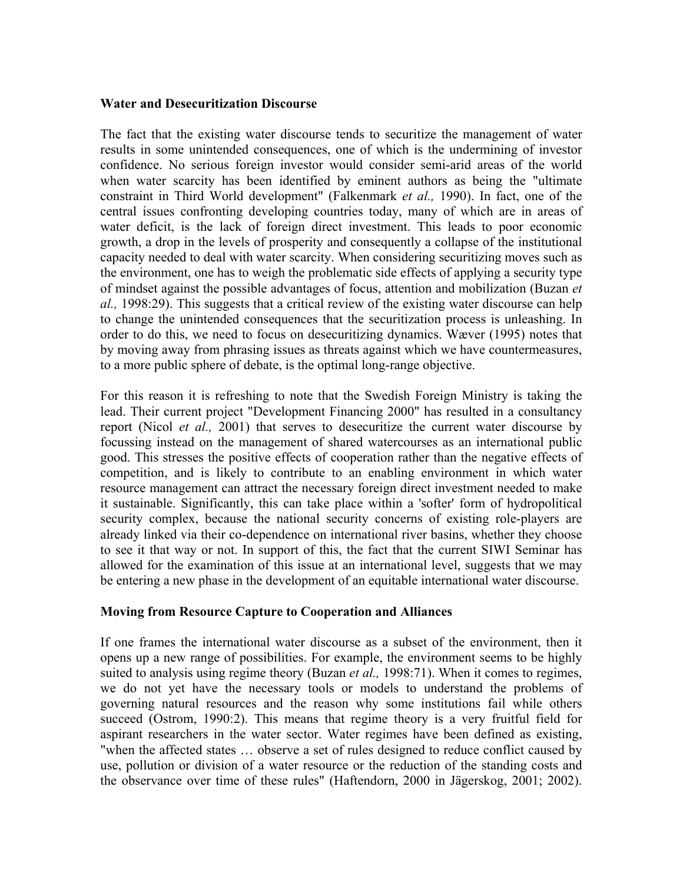### **Water and Desecuritization Discourse**

The fact that the existing water discourse tends to securitize the management of water results in some unintended consequences, one of which is the undermining of investor confidence. No serious foreign investor would consider semi-arid areas of the world when water scarcity has been identified by eminent authors as being the "ultimate constraint in Third World development" (Falkenmark *et al.,* 1990). In fact, one of the central issues confronting developing countries today, many of which are in areas of water deficit, is the lack of foreign direct investment. This leads to poor economic growth, a drop in the levels of prosperity and consequently a collapse of the institutional capacity needed to deal with water scarcity. When considering securitizing moves such as the environment, one has to weigh the problematic side effects of applying a security type of mindset against the possible advantages of focus, attention and mobilization (Buzan *et al.,* 1998:29). This suggests that a critical review of the existing water discourse can help to change the unintended consequences that the securitization process is unleashing. In order to do this, we need to focus on desecuritizing dynamics. Wæver (1995) notes that by moving away from phrasing issues as threats against which we have countermeasures, to a more public sphere of debate, is the optimal long-range objective.

For this reason it is refreshing to note that the Swedish Foreign Ministry is taking the lead. Their current project "Development Financing 2000" has resulted in a consultancy report (Nicol *et al.,* 2001) that serves to desecuritize the current water discourse by focussing instead on the management of shared watercourses as an international public good. This stresses the positive effects of cooperation rather than the negative effects of competition, and is likely to contribute to an enabling environment in which water resource management can attract the necessary foreign direct investment needed to make it sustainable. Significantly, this can take place within a 'softer' form of hydropolitical security complex, because the national security concerns of existing role-players are already linked via their co-dependence on international river basins, whether they choose to see it that way or not. In support of this, the fact that the current SIWI Seminar has allowed for the examination of this issue at an international level, suggests that we may be entering a new phase in the development of an equitable international water discourse.

## **Moving from Resource Capture to Cooperation and Alliances**

If one frames the international water discourse as a subset of the environment, then it opens up a new range of possibilities. For example, the environment seems to be highly suited to analysis using regime theory (Buzan *et al.,* 1998:71). When it comes to regimes, we do not yet have the necessary tools or models to understand the problems of governing natural resources and the reason why some institutions fail while others succeed (Ostrom, 1990:2). This means that regime theory is a very fruitful field for aspirant researchers in the water sector. Water regimes have been defined as existing, "when the affected states … observe a set of rules designed to reduce conflict caused by use, pollution or division of a water resource or the reduction of the standing costs and the observance over time of these rules" (Haftendorn, 2000 in Jägerskog, 2001; 2002).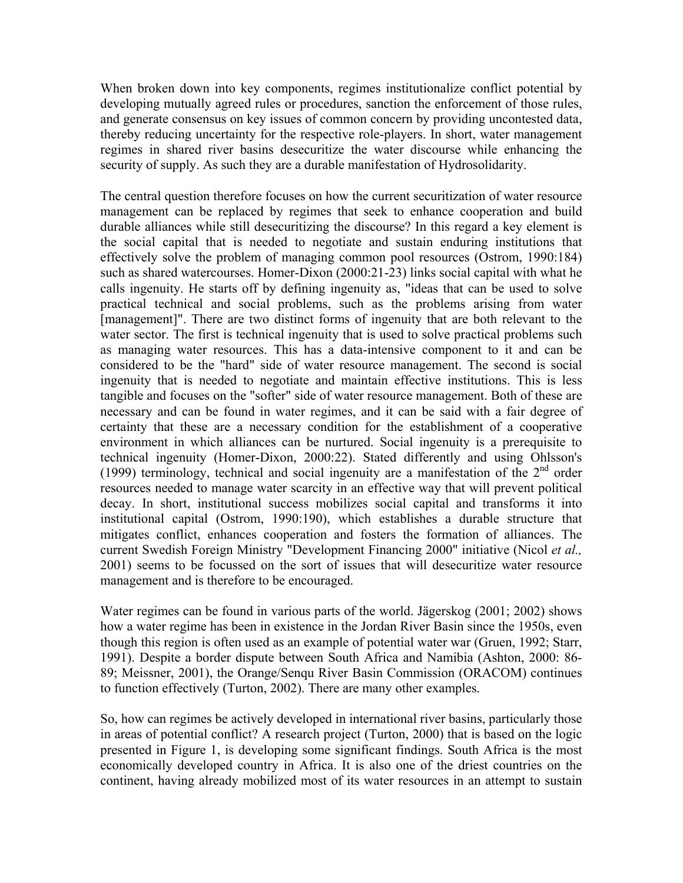When broken down into key components, regimes institutionalize conflict potential by developing mutually agreed rules or procedures, sanction the enforcement of those rules, and generate consensus on key issues of common concern by providing uncontested data, thereby reducing uncertainty for the respective role-players. In short, water management regimes in shared river basins desecuritize the water discourse while enhancing the security of supply. As such they are a durable manifestation of Hydrosolidarity.

The central question therefore focuses on how the current securitization of water resource management can be replaced by regimes that seek to enhance cooperation and build durable alliances while still desecuritizing the discourse? In this regard a key element is the social capital that is needed to negotiate and sustain enduring institutions that effectively solve the problem of managing common pool resources (Ostrom, 1990:184) such as shared watercourses. Homer-Dixon (2000:21-23) links social capital with what he calls ingenuity. He starts off by defining ingenuity as, "ideas that can be used to solve practical technical and social problems, such as the problems arising from water [management]". There are two distinct forms of ingenuity that are both relevant to the water sector. The first is technical ingenuity that is used to solve practical problems such as managing water resources. This has a data-intensive component to it and can be considered to be the "hard" side of water resource management. The second is social ingenuity that is needed to negotiate and maintain effective institutions. This is less tangible and focuses on the "softer" side of water resource management. Both of these are necessary and can be found in water regimes, and it can be said with a fair degree of certainty that these are a necessary condition for the establishment of a cooperative environment in which alliances can be nurtured. Social ingenuity is a prerequisite to technical ingenuity (Homer-Dixon, 2000:22). Stated differently and using Ohlsson's (1999) terminology, technical and social ingenuity are a manifestation of the  $2<sup>nd</sup>$  order resources needed to manage water scarcity in an effective way that will prevent political decay. In short, institutional success mobilizes social capital and transforms it into institutional capital (Ostrom, 1990:190), which establishes a durable structure that mitigates conflict, enhances cooperation and fosters the formation of alliances. The current Swedish Foreign Ministry "Development Financing 2000" initiative (Nicol *et al.,* 2001) seems to be focussed on the sort of issues that will desecuritize water resource management and is therefore to be encouraged.

Water regimes can be found in various parts of the world. Jägerskog (2001; 2002) shows how a water regime has been in existence in the Jordan River Basin since the 1950s, even though this region is often used as an example of potential water war (Gruen, 1992; Starr, 1991). Despite a border dispute between South Africa and Namibia (Ashton, 2000: 86- 89; Meissner, 2001), the Orange/Senqu River Basin Commission (ORACOM) continues to function effectively (Turton, 2002). There are many other examples.

So, how can regimes be actively developed in international river basins, particularly those in areas of potential conflict? A research project (Turton, 2000) that is based on the logic presented in Figure 1, is developing some significant findings. South Africa is the most economically developed country in Africa. It is also one of the driest countries on the continent, having already mobilized most of its water resources in an attempt to sustain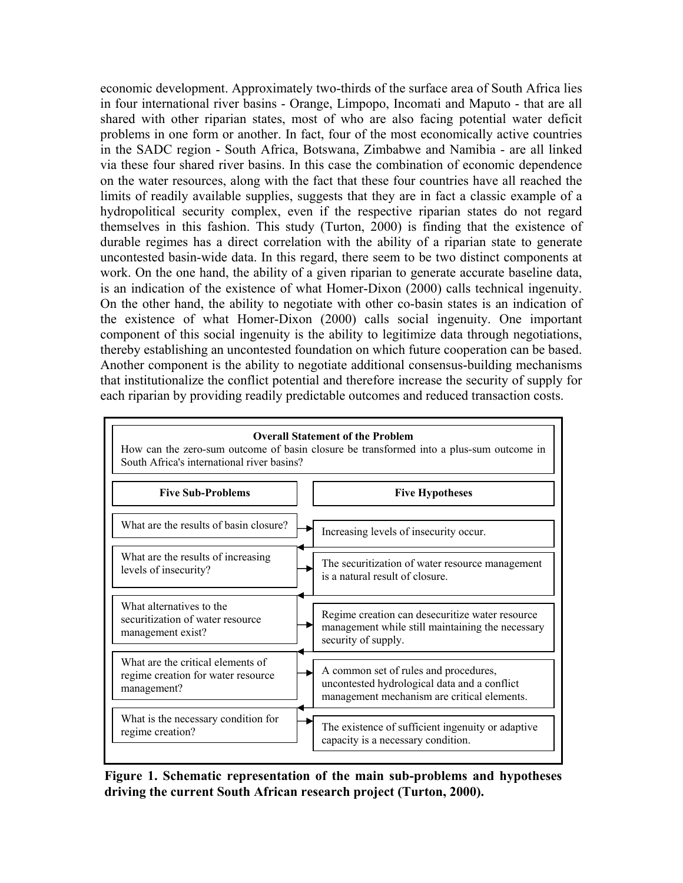economic development. Approximately two-thirds of the surface area of South Africa lies in four international river basins - Orange, Limpopo, Incomati and Maputo - that are all shared with other riparian states, most of who are also facing potential water deficit problems in one form or another. In fact, four of the most economically active countries in the SADC region - South Africa, Botswana, Zimbabwe and Namibia - are all linked via these four shared river basins. In this case the combination of economic dependence on the water resources, along with the fact that these four countries have all reached the limits of readily available supplies, suggests that they are in fact a classic example of a hydropolitical security complex, even if the respective riparian states do not regard themselves in this fashion. This study (Turton, 2000) is finding that the existence of durable regimes has a direct correlation with the ability of a riparian state to generate uncontested basin-wide data. In this regard, there seem to be two distinct components at work. On the one hand, the ability of a given riparian to generate accurate baseline data, is an indication of the existence of what Homer-Dixon (2000) calls technical ingenuity. On the other hand, the ability to negotiate with other co-basin states is an indication of the existence of what Homer-Dixon (2000) calls social ingenuity. One important component of this social ingenuity is the ability to legitimize data through negotiations, thereby establishing an uncontested foundation on which future cooperation can be based. Another component is the ability to negotiate additional consensus-building mechanisms that institutionalize the conflict potential and therefore increase the security of supply for each riparian by providing readily predictable outcomes and reduced transaction costs.



**Figure 1. Schematic representation of the main sub-problems and hypotheses driving the current South African research project (Turton, 2000).**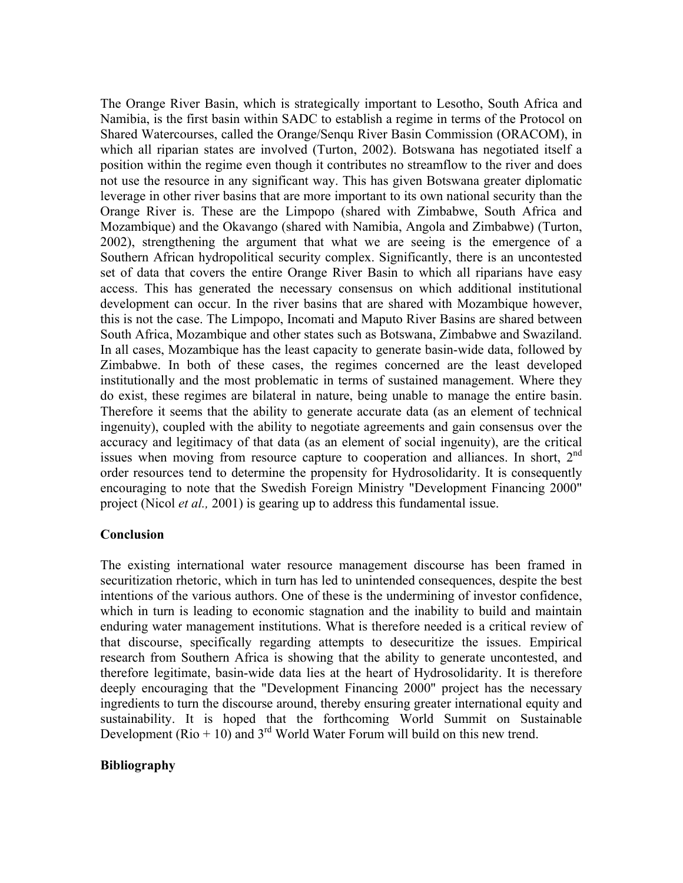The Orange River Basin, which is strategically important to Lesotho, South Africa and Namibia, is the first basin within SADC to establish a regime in terms of the Protocol on Shared Watercourses, called the Orange/Senqu River Basin Commission (ORACOM), in which all riparian states are involved (Turton, 2002). Botswana has negotiated itself a position within the regime even though it contributes no streamflow to the river and does not use the resource in any significant way. This has given Botswana greater diplomatic leverage in other river basins that are more important to its own national security than the Orange River is. These are the Limpopo (shared with Zimbabwe, South Africa and Mozambique) and the Okavango (shared with Namibia, Angola and Zimbabwe) (Turton, 2002), strengthening the argument that what we are seeing is the emergence of a Southern African hydropolitical security complex. Significantly, there is an uncontested set of data that covers the entire Orange River Basin to which all riparians have easy access. This has generated the necessary consensus on which additional institutional development can occur. In the river basins that are shared with Mozambique however, this is not the case. The Limpopo, Incomati and Maputo River Basins are shared between South Africa, Mozambique and other states such as Botswana, Zimbabwe and Swaziland. In all cases, Mozambique has the least capacity to generate basin-wide data, followed by Zimbabwe. In both of these cases, the regimes concerned are the least developed institutionally and the most problematic in terms of sustained management. Where they do exist, these regimes are bilateral in nature, being unable to manage the entire basin. Therefore it seems that the ability to generate accurate data (as an element of technical ingenuity), coupled with the ability to negotiate agreements and gain consensus over the accuracy and legitimacy of that data (as an element of social ingenuity), are the critical issues when moving from resource capture to cooperation and alliances. In short,  $2<sup>nd</sup>$ order resources tend to determine the propensity for Hydrosolidarity. It is consequently encouraging to note that the Swedish Foreign Ministry "Development Financing 2000" project (Nicol *et al.,* 2001) is gearing up to address this fundamental issue.

## **Conclusion**

The existing international water resource management discourse has been framed in securitization rhetoric, which in turn has led to unintended consequences, despite the best intentions of the various authors. One of these is the undermining of investor confidence, which in turn is leading to economic stagnation and the inability to build and maintain enduring water management institutions. What is therefore needed is a critical review of that discourse, specifically regarding attempts to desecuritize the issues. Empirical research from Southern Africa is showing that the ability to generate uncontested, and therefore legitimate, basin-wide data lies at the heart of Hydrosolidarity. It is therefore deeply encouraging that the "Development Financing 2000" project has the necessary ingredients to turn the discourse around, thereby ensuring greater international equity and sustainability. It is hoped that the forthcoming World Summit on Sustainable Development ( $\text{Rio} + 10$ ) and 3<sup>rd</sup> World Water Forum will build on this new trend.

## **Bibliography**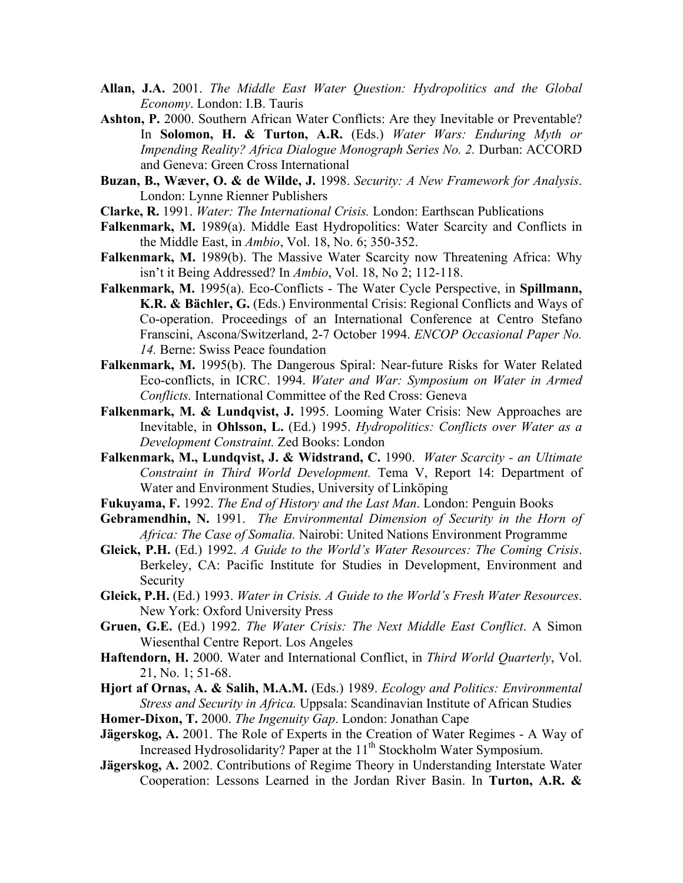- **Allan, J.A.** 2001. *The Middle East Water Question: Hydropolitics and the Global Economy*. London: I.B. Tauris
- Ashton, P. 2000. Southern African Water Conflicts: Are they Inevitable or Preventable? In **Solomon, H. & Turton, A.R.** (Eds.) *Water Wars: Enduring Myth or Impending Reality? Africa Dialogue Monograph Series No. 2.* Durban: ACCORD and Geneva: Green Cross International
- **Buzan, B., Wæver, O. & de Wilde, J.** 1998. *Security: A New Framework for Analysis*. London: Lynne Rienner Publishers
- **Clarke, R.** 1991. *Water: The International Crisis.* London: Earthscan Publications
- **Falkenmark, M.** 1989(a). Middle East Hydropolitics: Water Scarcity and Conflicts in the Middle East, in *Ambio*, Vol. 18, No. 6; 350-352.
- **Falkenmark, M.** 1989(b). The Massive Water Scarcity now Threatening Africa: Why isn't it Being Addressed? In *Ambio*, Vol. 18, No 2; 112-118.
- **Falkenmark, M.** 1995(a). Eco-Conflicts The Water Cycle Perspective, in **Spillmann, K.R. & Bächler, G.** (Eds.) Environmental Crisis: Regional Conflicts and Ways of Co-operation. Proceedings of an International Conference at Centro Stefano Franscini, Ascona/Switzerland, 2-7 October 1994. *ENCOP Occasional Paper No. 14.* Berne: Swiss Peace foundation
- **Falkenmark, M.** 1995(b). The Dangerous Spiral: Near-future Risks for Water Related Eco-conflicts, in ICRC. 1994. *Water and War: Symposium on Water in Armed Conflicts.* International Committee of the Red Cross: Geneva
- Falkenmark, M. & Lundqvist, J. 1995. Looming Water Crisis: New Approaches are Inevitable, in **Ohlsson, L.** (Ed.) 1995. *Hydropolitics: Conflicts over Water as a Development Constraint.* Zed Books: London
- **Falkenmark, M., Lundqvist, J. & Widstrand, C.** 1990. *Water Scarcity an Ultimate Constraint in Third World Development.* Tema V, Report 14: Department of Water and Environment Studies, University of Linköping
- **Fukuyama, F.** 1992. *The End of History and the Last Man*. London: Penguin Books
- **Gebramendhin, N.** 1991. *The Environmental Dimension of Security in the Horn of Africa: The Case of Somalia.* Nairobi: United Nations Environment Programme
- **Gleick, P.H.** (Ed.) 1992. *A Guide to the World's Water Resources: The Coming Crisis*. Berkeley, CA: Pacific Institute for Studies in Development, Environment and Security
- **Gleick, P.H.** (Ed.) 1993. *Water in Crisis. A Guide to the World's Fresh Water Resources*. New York: Oxford University Press
- **Gruen, G.E.** (Ed.) 1992. *The Water Crisis: The Next Middle East Conflict*. A Simon Wiesenthal Centre Report. Los Angeles
- **Haftendorn, H.** 2000. Water and International Conflict, in *Third World Quarterly*, Vol. 21, No. 1; 51-68.
- **Hjort af Ornas, A. & Salih, M.A.M.** (Eds.) 1989. *Ecology and Politics: Environmental Stress and Security in Africa.* Uppsala: Scandinavian Institute of African Studies
- **Homer-Dixon, T.** 2000. *The Ingenuity Gap*. London: Jonathan Cape
- **Jägerskog, A.** 2001. The Role of Experts in the Creation of Water Regimes A Way of Increased Hydrosolidarity? Paper at the 11<sup>th</sup> Stockholm Water Symposium.
- **Jägerskog, A.** 2002. Contributions of Regime Theory in Understanding Interstate Water Cooperation: Lessons Learned in the Jordan River Basin. In **Turton, A.R. &**